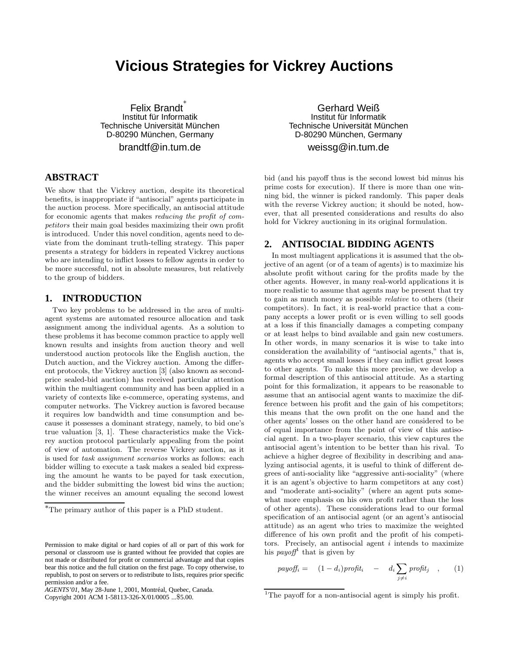# **Vicious Strategies for Vickrey Auctions**

Felix Brandt<sup>\*</sup> Institut für Informatik Technische Universität München D-80290 München, Germany brandtf@in.tum.de

**ABSTRACT**

We show that the Vickrey auction, despite its theoretical benefits, is inappropriate if "antisocial" agents participate in the auction process. More specifically, an antisocial attitude for economic agents that makes reducing the profit of competitors their main goal besides maximizing their own profit is introduced. Under this novel condition, agents need to deviate from the dominant truth-telling strategy. This paper presents a strategy for bidders in repeated Vickrey auctions who are intending to inflict losses to fellow agents in order to be more successful, not in absolute measures, but relatively to the group of bidders.

#### **1. INTRODUCTION**

Two key problems to be addressed in the area of multiagent systems are automated resource allocation and task assignment among the individual agents. As a solution to these problems it has become common practice to apply well known results and insights from auction theory and well understood auction protocols like the English auction, the Dutch auction, and the Vickrey auction. Among the different protocols, the Vickrey auction [3] (also known as secondprice sealed-bid auction) has received particular attention within the multiagent community and has been applied in a variety of contexts like e-commerce, operating systems, and computer networks. The Vickrey auction is favored because it requires low bandwidth and time consumption and because it possesses a dominant strategy, namely, to bid one's true valuation [3, 1]. These characteristics make the Vickrey auction protocol particularly appealing from the point of view of automation. The reverse Vickrey auction, as it is used for task assignment scenarios works as follows: each bidder willing to execute a task makes a sealed bid expressing the amount he wants to be payed for task execution, and the bidder submitting the lowest bid wins the auction; the winner receives an amount equaling the second lowest

Copyright 2001 ACM 1-58113-326-X/01/0005 ...\$5.00.

Gerhard Weiß Institut für Informatik Technische Universität München D-80290 München, Germany weissg@in.tum.de

bid (and his payoff thus is the second lowest bid minus his prime costs for execution). If there is more than one winning bid, the winner is picked randomly. This paper deals with the reverse Vickrey auction; it should be noted, however, that all presented considerations and results do also hold for Vickrey auctioning in its original formulation.

### **2. ANTISOCIAL BIDDING AGENTS**

In most multiagent applications it is assumed that the objective of an agent (or of a team of agents) is to maximize his absolute profit without caring for the profits made by the other agents. However, in many real-world applications it is more realistic to assume that agents may be present that try to gain as much money as possible relative to others (their competitors). In fact, it is real-world practice that a company accepts a lower profit or is even willing to sell goods at a loss if this financially damages a competing company or at least helps to bind available and gain new costumers. In other words, in many scenarios it is wise to take into consideration the availability of "antisocial agents," that is, agents who accept small losses if they can inflict great losses to other agents. To make this more precise, we develop a formal description of this antisocial attitude. As a starting point for this formalization, it appears to be reasonable to assume that an antisocial agent wants to maximize the difference between his profit and the gain of his competitors; this means that the own profit on the one hand and the other agents' losses on the other hand are considered to be of equal importance from the point of view of this antisocial agent. In a two-player scenario, this view captures the antisocial agent's intention to be better than his rival. To achieve a higher degree of flexibility in describing and analyzing antisocial agents, it is useful to think of different degrees of anti-sociality like "aggressive anti-sociality" (where it is an agent's objective to harm competitors at any cost) and "moderate anti-sociality" (where an agent puts somewhat more emphasis on his own profit rather than the loss of other agents). These considerations lead to our formal specification of an antisocial agent (or an agent's antisocial attitude) as an agent who tries to maximize the weighted difference of his own profit and the profit of his competitors. Precisely, an antisocial agent  $i$  intends to maximize his *payoff*<sup>1</sup> that is given by

$$
payoff_i = (1-d_i) profit_i - d_i \sum_{j \neq i} profit_j , (1)
$$

<sup>∗</sup>The primary author of this paper is <sup>a</sup> PhD student.

Permission to make digital or hard copies of all or part of this work for personal or classroom use is granted without fee provided that copies are not made or distributed for profit or commercial advantage and that copies bear this notice and the full citation on the first page. To copy otherwise, to republish, to post on servers or to redistribute to lists, requires prior specific permission and/or a fee.

*AGENTS'01*, May 28-June 1, 2001, Montréal, Quebec, Canada.

<sup>&</sup>lt;sup>1</sup>The payoff for a non-antisocial agent is simply his profit.